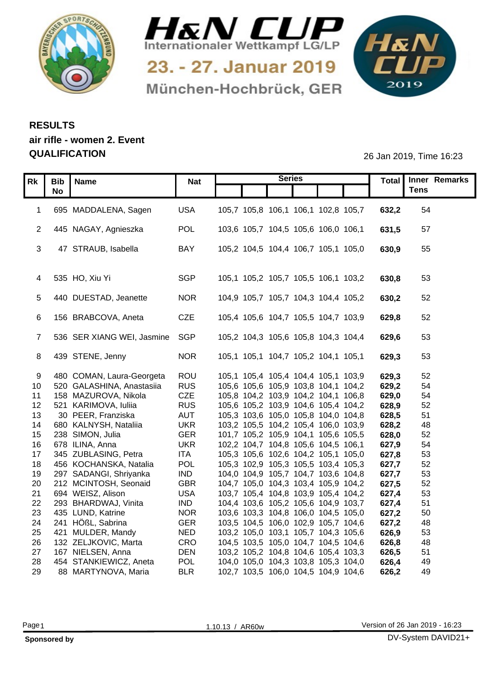



München-Hochbrück, GER

1&N 

## **RESULTS air rifle - women 2. Event QUALIFICATION** 26 Jan 2019, Time 16:23

|                 |                              |                            |                          |                                                                            |                                     | <b>Series</b> |  |                | Total   Inner Remarks |  |
|-----------------|------------------------------|----------------------------|--------------------------|----------------------------------------------------------------------------|-------------------------------------|---------------|--|----------------|-----------------------|--|
|                 | Rk   Bib   Name<br><b>No</b> |                            | <b>Nat</b>               |                                                                            |                                     |               |  |                | <b>Tens</b>           |  |
|                 |                              |                            |                          |                                                                            |                                     |               |  |                |                       |  |
|                 |                              | 1 695 MADDALENA, Sagen     | <b>USA</b>               | 105,7 105,8 106,1 106,1 102,8 105,7                                        |                                     |               |  | 632,2          | 54                    |  |
|                 |                              |                            |                          |                                                                            |                                     |               |  |                |                       |  |
|                 |                              | 2 445 NAGAY, Agnieszka     | <b>POL</b>               |                                                                            | 103,6 105,7 104,5 105,6 106,0 106,1 |               |  | 631,5          | 57                    |  |
|                 |                              |                            |                          |                                                                            |                                     |               |  |                |                       |  |
| 3               |                              | 47 STRAUB, Isabella        | <b>BAY</b>               | 105,2 104,5 104,4 106,7 105,1 105,0                                        |                                     |               |  | 630,9          | 55                    |  |
|                 |                              |                            |                          |                                                                            |                                     |               |  |                |                       |  |
|                 | 4 535 HO, Xiu Yi             |                            | <b>SGP</b>               |                                                                            | 105,1 105,2 105,7 105,5 106,1 103,2 |               |  | 630,8          | 53                    |  |
|                 |                              |                            |                          |                                                                            |                                     |               |  |                |                       |  |
|                 |                              | 5 440 DUESTAD, Jeanette    | <b>NOR</b>               |                                                                            | 104,9 105,7 105,7 104,3 104,4 105,2 |               |  | 630,2          | 52                    |  |
|                 |                              |                            |                          |                                                                            |                                     |               |  |                |                       |  |
|                 |                              | 156 BRABCOVA, Aneta        | CZE                      | 105,4 105,6 104,7 105,5 104,7 103,9                                        |                                     |               |  | 629,8          | 52                    |  |
|                 |                              |                            |                          |                                                                            |                                     |               |  |                |                       |  |
|                 |                              | 536 SER XIANG WEI, Jasmine | SGP                      |                                                                            | 105,2 104,3 105,6 105,8 104,3 104,4 |               |  | 629,6          | 53                    |  |
|                 |                              |                            |                          |                                                                            |                                     |               |  |                |                       |  |
|                 | 8 439 STENE, Jenny           |                            | <b>NOR</b>               | 105,1 105,1 104,7 105,2 104,1 105,1                                        |                                     |               |  | 629,3          | 53                    |  |
|                 |                              | 480 COMAN, Laura-Georgeta  | ROU                      |                                                                            | 105,1 105,4 105,4 104,4 105,1 103,9 |               |  | 629,3          | 52                    |  |
| 10 <sup>1</sup> |                              | 520 GALASHINA, Anastasiia  | <b>RUS</b>               |                                                                            | 105,6 105,6 105,9 103,8 104,1 104,2 |               |  | 629,2          | 54                    |  |
| 11              |                              | 158 MAZUROVA, Nikola       | CZE                      | 105,8 104,2 103,9 104,2 104,1 106,8                                        |                                     |               |  | 629,0          | 54                    |  |
| 12 <sup>7</sup> |                              | 521 KARIMOVA, Iuliia       | <b>RUS</b>               |                                                                            | 105,6 105,2 103,9 104,6 105,4 104,2 |               |  | 628,9          | 52                    |  |
| 13              |                              | 30 PEER, Franziska         | <b>AUT</b>               |                                                                            | 105,3 103,6 105,0 105,8 104,0 104,8 |               |  | 628,5          | 51                    |  |
| 14              |                              | 680 KALNYSH, Nataliia      | <b>UKR</b>               |                                                                            | 103,2 105,5 104,2 105,4 106,0 103,9 |               |  | 628,2          | 48                    |  |
|                 | 15 238 SIMON, Julia          |                            | <b>GER</b>               | 101,7 105,2 105,9 104,1 105,6 105,5                                        |                                     |               |  | 628,0          | 52                    |  |
|                 | 16 678 ILINA, Anna           |                            | <b>UKR</b>               | 102,2 104,7 104,8 105,6 104,5 106,1                                        |                                     |               |  | 627,9          | 54                    |  |
| 17              |                              | 345 ZUBLASING, Petra       | <b>ITA</b>               |                                                                            | 105,3 105,6 102,6 104,2 105,1 105,0 |               |  | 627,8          | 53                    |  |
| 18              |                              | 456 KOCHANSKA, Natalia     | POL                      |                                                                            | 105,3 102,9 105,3 105,5 103,4 105,3 |               |  | 627,7          | 52                    |  |
| 19              |                              | 297 SADANGI, Shriyanka     | <b>IND</b><br><b>GBR</b> | 104,0 104,9 105,7 104,7 103,6 104,8                                        |                                     |               |  | 627,7<br>627,5 | 53                    |  |
| 20<br>21        | 694 WEISZ, Alison            | 212 MCINTOSH, Seonaid      | <b>USA</b>               | 104,7 105,0 104,3 103,4 105,9 104,2<br>103,7 105,4 104,8 103,9 105,4 104,2 |                                     |               |  | 627,4          | 52<br>53              |  |
| 22              |                              | 293 BHARDWAJ, Vinita       | <b>IND</b>               | 104,4 103,6 105,2 105,6 104,9 103,7                                        |                                     |               |  | 627,4          | 51                    |  |
| 23              | 435 LUND, Katrine            |                            | <b>NOR</b>               |                                                                            | 103,6 103,3 104,8 106,0 104,5 105,0 |               |  | 627,2          | 50                    |  |
| 24              | 241 HÖßL, Sabrina            |                            | <b>GER</b>               |                                                                            | 103,5 104,5 106,0 102,9 105,7 104,6 |               |  | 627,2          | 48                    |  |
| 25              |                              | 421 MULDER, Mandy          | <b>NED</b>               | 103,2 105,0 103,1 105,7 104,3 105,6                                        |                                     |               |  | 626,9          | 53                    |  |
| 26              |                              | 132 ZELJKOVIC, Marta       | CRO                      | 104,5 103,5 105,0 104,7 104,5 104,6                                        |                                     |               |  | 626,8          | 48                    |  |
| 27              |                              | 167 NIELSEN, Anna          | <b>DEN</b>               | 103,2 105,2 104,8 104,6 105,4 103,3                                        |                                     |               |  | 626,5          | 51                    |  |
| 28              |                              | 454 STANKIEWICZ, Aneta     | <b>POL</b>               |                                                                            | 104,0 105,0 104,3 103,8 105,3 104,0 |               |  | 626,4          | 49                    |  |
| 29              |                              | 88 MARTYNOVA, Maria        | <b>BLR</b>               |                                                                            | 102,7 103,5 106,0 104,5 104,9 104,6 |               |  | 626,2          | 49                    |  |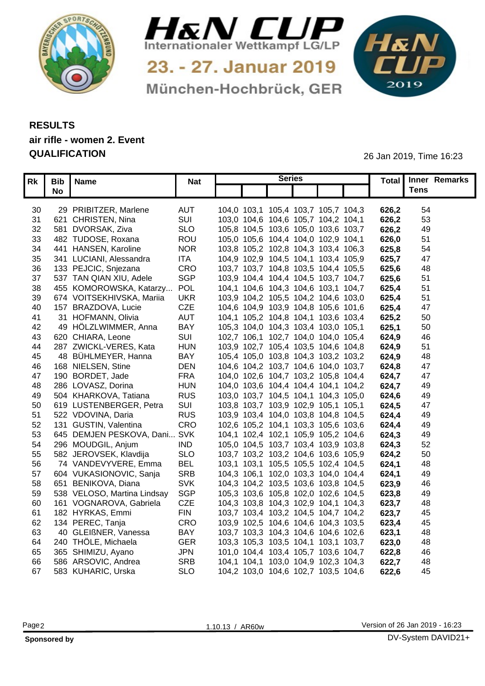



München-Hochbrück, GER

1&N 

## **RESULTS air rifle - women 2. Event QUALIFICATION** 26 Jan 2019, Time 16:23

|                 | Rk Bib Name |                              | <b>Nat</b> | <b>Series</b>                       |       | Total   Inner Remarks |  |
|-----------------|-------------|------------------------------|------------|-------------------------------------|-------|-----------------------|--|
|                 | <b>No</b>   |                              |            |                                     |       | <b>Tens</b>           |  |
|                 |             |                              |            |                                     |       |                       |  |
| 30              |             | 29 PRIBITZER, Marlene        | <b>AUT</b> | 104,0 103,1 105,4 103,7 105,7 104,3 | 626,2 | 54                    |  |
| 31              |             | 621 CHRISTEN, Nina           | SUI        | 103,0 104,6 104,6 105,7 104,2 104,1 | 626,2 | 53                    |  |
| 32 <sup>2</sup> |             | 581 DVORSAK, Ziva            | <b>SLO</b> | 105,8 104,5 103,6 105,0 103,6 103,7 | 626,2 | 49                    |  |
| 33              |             | 482 TUDOSE, Roxana           | ROU        | 105,0 105,6 104,4 104,0 102,9 104,1 | 626,0 | 51                    |  |
| 34              |             | 441 HANSEN, Karoline         | <b>NOR</b> | 103,8 105,2 102,8 104,3 103,4 106,3 | 625,8 | 54                    |  |
| 35              |             | 341 LUCIANI, Alessandra      | ITA        | 104,9 102,9 104,5 104,1 103,4 105,9 | 625,7 | -47                   |  |
| 36              |             | 133 PEJCIC, Snjezana         | CRO        | 103,7 103,7 104,8 103,5 104,4 105,5 | 625,6 | 48                    |  |
| 37              |             | 537 TAN QIAN XIU, Adele      | <b>SGP</b> | 103,9 104,4 104,4 104,5 103,7 104,7 | 625,6 | 51                    |  |
| 38              |             | 455 KOMOROWSKA, Katarzy POL  |            | 104,1 104,6 104,3 104,6 103,1 104,7 | 625,4 | 51                    |  |
| 39              |             | 674 VOITSEKHIVSKA, Mariia    | UKR        | 103,9 104,2 105,5 104,2 104,6 103,0 | 625,4 | 51                    |  |
| 40              |             | 157 BRAZDOVA, Lucie          | <b>CZE</b> | 104,6 104,9 103,9 104,8 105,6 101,6 | 625,4 | 47                    |  |
| -41             |             | 31 HOFMANN, Olivia           | <b>AUT</b> | 104,1 105,2 104,8 104,1 103,6 103,4 | 625,2 | 50                    |  |
| 42              |             | 49 HÖLZLWIMMER, Anna         | <b>BAY</b> | 105,3 104,0 104,3 103,4 103,0 105,1 | 625,7 | 50                    |  |
| 43              |             | 620 CHIARA, Leone            | <b>SUI</b> | 102,7 106,1 102,7 104,0 104,0 105,4 | 624,9 | 46                    |  |
| 44              |             | 287 ZWICKL-VERES, Kata       | <b>HUN</b> | 103,9 102,7 105,4 103,5 104,6 104,8 | 624,9 | 51                    |  |
| 45              |             | 48 BÜHLMEYER, Hanna          | <b>BAY</b> | 105,4 105,0 103,8 104,3 103,2 103,2 | 624.9 | 48                    |  |
| 46              |             | 168 NIELSEN, Stine           | <b>DEN</b> | 104,6 104,2 103,7 104,6 104,0 103,7 | 624,8 | 47                    |  |
| 47              |             | 190 BORDET, Jade             | <b>FRA</b> | 104,0 102,6 104,7 103,2 105,8 104,4 | 624,7 | 47                    |  |
| 48              |             | 286 LOVASZ, Dorina           | <b>HUN</b> | 104,0 103,6 104,4 104,4 104,1 104,2 | 624.7 | 49                    |  |
| 49              |             | 504 KHARKOVA, Tatiana        | <b>RUS</b> | 103,0 103,7 104,5 104,1 104,3 105,0 | 624,6 | 49                    |  |
| 50              |             | 619 LUSTENBERGER, Petra      | SUI        | 103,8 103,7 103,9 102,9 105,1 105,1 | 624,5 | 47                    |  |
| 51              |             | 522 VDOVINA, Daria           | <b>RUS</b> | 103,9 103,4 104,0 103,8 104,8 104,5 | 624,4 | 49                    |  |
| 52              |             | 131 GUSTIN, Valentina        | <b>CRO</b> | 102,6 105,2 104,1 103,3 105,6 103,6 | 624,4 | 49                    |  |
| 53              |             | 645 DEMJEN PESKOVA, Dani SVK |            | 104,1 102,4 102,1 105,9 105,2 104,6 | 624,3 | 49                    |  |
| 54              |             | 296 MOUDGIL, Anjum           | <b>IND</b> | 105,0 104,5 103,7 103,4 103,9 103,8 | 624,3 | 52                    |  |
| 55              |             | 582 JEROVSEK, Klavdija       | <b>SLO</b> | 103,7 103,2 103,2 104,6 103,6 105,9 | 624,2 | 50                    |  |
| 56              |             | 74 VANDEVYVERE, Emma         | <b>BEL</b> | 103,1 103,1 105,5 105,5 102,4 104,5 | 624,  | 48                    |  |
| 57              |             | 604 VUKASIONOVIC, Sanja      | <b>SRB</b> | 104,3 106,1 102,0 103,3 104,0 104,4 | 624,  | 49                    |  |
| 58              |             | 651 BENIKOVA, Diana          | <b>SVK</b> | 104,3 104,2 103,5 103,6 103,8 104,5 | 623,  | 46                    |  |
| 59              |             | 538 VELOSO, Martina Lindsay  | SGP        | 105,3 103,6 105,8 102,0 102,6 104,5 | 623,8 | 49                    |  |
| 60              |             | 161 VOGNAROVA, Gabriela      | CZE        | 104,3 103,8 104,3 102,9 104,1 104,3 | 623,7 | 48                    |  |
| 61              |             | 182 HYRKAS, Emmi             | <b>FIN</b> | 103,7 103,4 103,2 104,5 104,7 104,2 | 623,7 | 45                    |  |
| 62              |             | 134 PEREC, Tanja             | <b>CRO</b> | 103,9 102,5 104,6 104,6 104,3 103,5 | 623,4 | 45                    |  |
| 63.             |             | 40 GLEIßNER, Vanessa         | <b>BAY</b> | 103,7 103,3 104,3 104,6 104,6 102,6 | 623,  | 48                    |  |
| 64              |             | 240 THÖLE, Michaela          | <b>GER</b> | 103,3 105,3 103,5 104,1 103,1 103,7 | 623,0 | 48                    |  |
|                 |             | 65 365 SHIMIZU, Ayano        | <b>JPN</b> | 101,0 104,4 103,4 105,7 103,6 104,7 | 622,8 | 46                    |  |
| 66              |             | 586 ARSOVIC, Andrea          | <b>SRB</b> | 104,1 104,1 103,0 104,9 102,3 104,3 | 622,7 | 48                    |  |
| 67              |             | 583 KUHARIC, Urska           | <b>SLO</b> | 104,2 103,0 104,6 102,7 103,5 104,6 | 622,6 | 45                    |  |